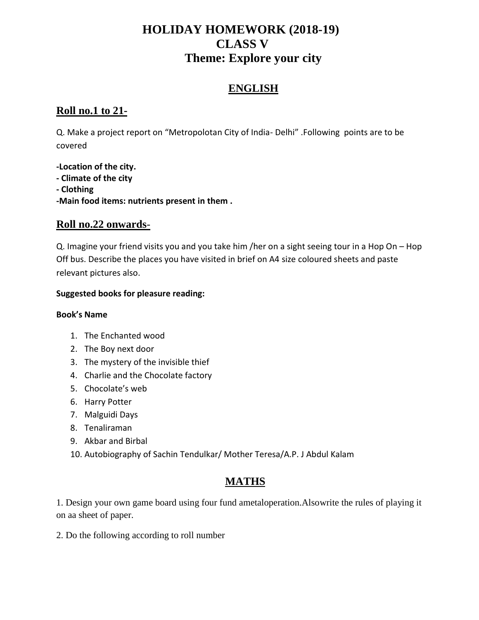## **HOLIDAY HOMEWORK (2018-19) CLASS V Theme: Explore your city**

#### **ENGLISH**

#### **Roll no.1 to 21-**

Q. Make a project report on "Metropolotan City of India- Delhi" .Following points are to be covered

**-Location of the city. - Climate of the city - Clothing -Main food items: nutrients present in them .**

#### **Roll no.22 onwards**-

Q. Imagine your friend visits you and you take him /her on a sight seeing tour in a Hop On – Hop Off bus. Describe the places you have visited in brief on A4 size coloured sheets and paste relevant pictures also.

#### **Suggested books for pleasure reading:**

#### **Book's Name**

- 1. The Enchanted wood
- 2. The Boy next door
- 3. The mystery of the invisible thief
- 4. Charlie and the Chocolate factory
- 5. Chocolate's web
- 6. Harry Potter
- 7. Malguidi Days
- 8. Tenaliraman
- 9. Akbar and Birbal
- 10. Autobiography of Sachin Tendulkar/ Mother Teresa/A.P. J Abdul Kalam

### **MATHS**

1. Design your own game board using four fund ametaloperation.Alsowrite the rules of playing it on aa sheet of paper.

2. Do the following according to roll number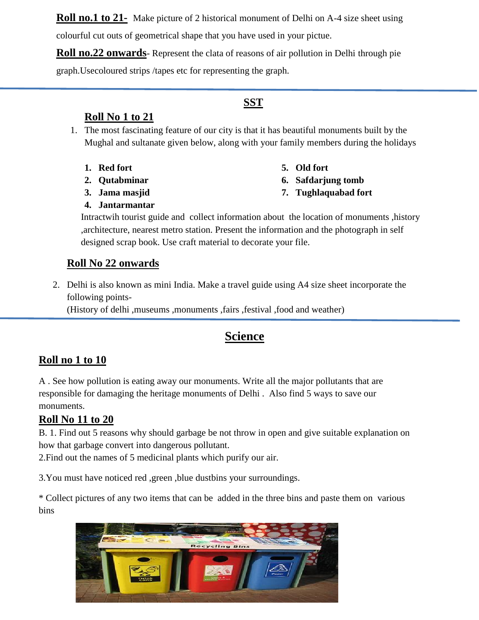**Roll no.1 to 21-** Make picture of 2 historical monument of Delhi on A-4 size sheet using

colourful cut outs of geometrical shape that you have used in your pictue.

**Roll no.22 onwards**- Represent the clata of reasons of air pollution in Delhi through pie

graph.Usecoloured strips /tapes etc for representing the graph.

### **SST**

#### **Roll No 1 to 21**

- 1. The most fascinating feature of our city is that it has beautiful monuments built by the Mughal and sultanate given below, along with your family members during the holidays
	- **1. Red fort**
	- **2. Qutabminar**
	- **3. Jama masjid**
- **5. Old fort**
- **6. Safdarjung tomb**
- **7. Tughlaquabad fort**

**4. Jantarmantar**

Intractwih tourist guide and collect information about the location of monuments ,history ,architecture, nearest metro station. Present the information and the photograph in self designed scrap book. Use craft material to decorate your file.

## **Roll No 22 onwards**

2. Delhi is also known as mini India. Make a travel guide using A4 size sheet incorporate the following points-

(History of delhi ,museums ,monuments ,fairs ,festival ,food and weather)

# **Science**

### **Roll no 1 to 10**

A . See how pollution is eating away our monuments. Write all the major pollutants that are responsible for damaging the heritage monuments of Delhi . Also find 5 ways to save our monuments.

### **Roll No 11 to 20**

B. 1. Find out 5 reasons why should garbage be not throw in open and give suitable explanation on how that garbage convert into dangerous pollutant.

2.Find out the names of 5 medicinal plants which purify our air.

3.You must have noticed red ,green ,blue dustbins your surroundings.

\* Collect pictures of any two items that can be added in the three bins and paste them on various bins

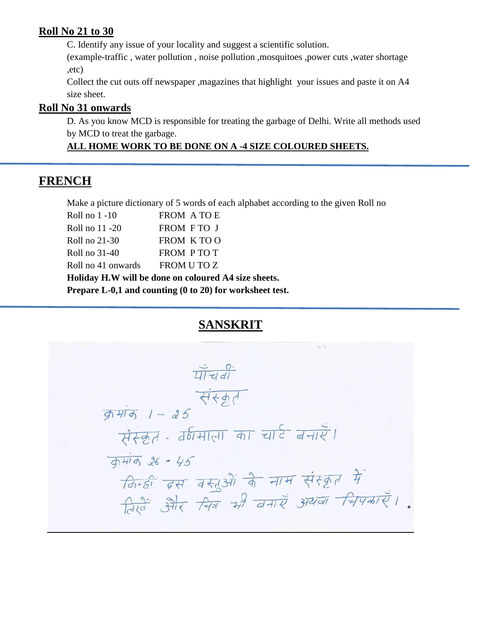#### **Roll No 21 to 30**

C. Identify any issue of your locality and suggest a scientific solution.

(example-traffic , water pollution , noise pollution ,mosquitoes ,power cuts ,water shortage ,etc)

Collect the cut outs off newspaper ,magazines that highlight your issues and paste it on A4 size sheet.

#### **Roll No 31 onwards**

D. As you know MCD is responsible for treating the garbage of Delhi. Write all methods used by MCD to treat the garbage.

### **ALL HOME WORK TO BE DONE ON A -4 SIZE COLOURED SHEETS.**

## **FRENCH**

Make a picture dictionary of 5 words of each alphabet according to the given Roll no

| Roll no $1 - 10$                                         | FROM A TO E |  |  |
|----------------------------------------------------------|-------------|--|--|
| Roll no 11 -20                                           | FROM FTO J  |  |  |
| Roll no 21-30                                            | FROM KTOO   |  |  |
| Roll no 31-40                                            | FROM PTOT   |  |  |
| Roll no 41 onwards                                       | FROM U TO Z |  |  |
| Holiday H.W will be done on coloured A4 size sheets.     |             |  |  |
| Prepare L-0,1 and counting (0 to 20) for worksheet test. |             |  |  |

# **SANSKRIT**

 $\frac{1}{4\pi}$ संस्कृत  $\frac{1}{9} + \frac{1}{9} - 25$ संस्कृत - वर्णमाला का चार्ट बनाएँ।  $\frac{1}{41414}$  26 - 45 किन्हीं इस वस्तुओं के नाम संस्कृत में रिखें और चित्र भी बनाएँ अथवा चिपकाएँ।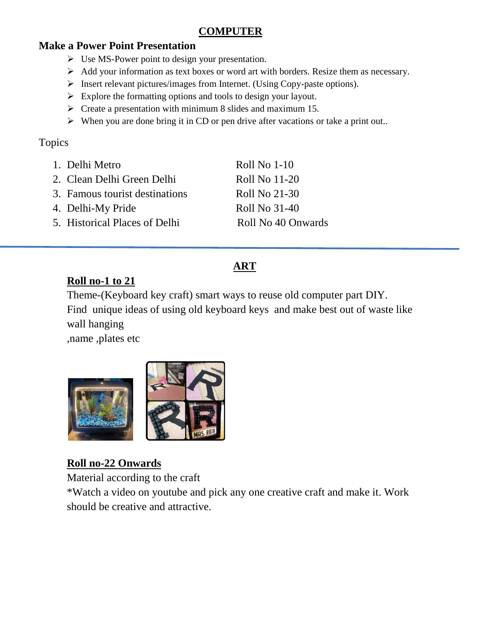### **COMPUTER**

### **Make a Power Point Presentation**

- Use MS-Power point to design your presentation.
- $\triangleright$  Add your information as text boxes or word art with borders. Resize them as necessary.
- $\triangleright$  Insert relevant pictures/images from Internet. (Using Copy-paste options).
- $\triangleright$  Explore the formatting options and tools to design your layout.
- $\triangleright$  Create a presentation with minimum 8 slides and maximum 15.
- $\triangleright$  When you are done bring it in CD or pen drive after vacations or take a print out..

### Topics

| 1. Delhi Metro                 | Roll No 1-10       |
|--------------------------------|--------------------|
| 2. Clean Delhi Green Delhi     | Roll No 11-20      |
| 3. Famous tourist destinations | Roll No 21-30      |
| 4. Delhi-My Pride              | Roll No 31-40      |
| 5. Historical Places of Delhi  | Roll No 40 Onwards |
|                                |                    |

# **ART**

### **Roll no-1 to 21**

Theme-(Keyboard key craft) smart ways to reuse old computer part DIY. Find unique ideas of using old keyboard keys and make best out of waste like wall hanging

,name ,plates etc



### **Roll no-22 Onwards**

Material according to the craft

\*Watch a video on youtube and pick any one creative craft and make it. Work should be creative and attractive.